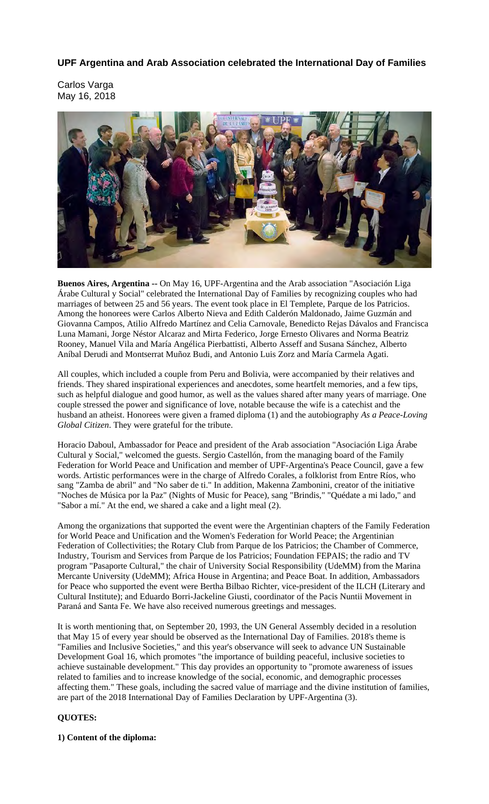# **UPF Argentina and Arab Association celebrated the International Day of Families**

Carlos Varga May 16, 2018



**Buenos Aires, Argentina --** On May 16, UPF-Argentina and the Arab association "Asociación Liga Árabe Cultural y Social" celebrated the International Day of Families by recognizing couples who had marriages of between 25 and 56 years. The event took place in El Templete, Parque de los Patricios. Among the honorees were Carlos Alberto Nieva and Edith Calderón Maldonado, Jaime Guzmán and Giovanna Campos, Atilio Alfredo Martínez and Celia Carnovale, Benedicto Rejas Dávalos and Francisca Luna Mamani, Jorge Néstor Alcaraz and Mirta Federico, Jorge Ernesto Olivares and Norma Beatriz Rooney, Manuel Vila and María Angélica Pierbattisti, Alberto Asseff and Susana Sánchez, Alberto Aníbal Derudi and Montserrat Muñoz Budi, and Antonio Luis Zorz and María Carmela Agati.

All couples, which included a couple from Peru and Bolivia, were accompanied by their relatives and friends. They shared inspirational experiences and anecdotes, some heartfelt memories, and a few tips, such as helpful dialogue and good humor, as well as the values shared after many years of marriage. One couple stressed the power and significance of love, notable because the wife is a catechist and the husband an atheist. Honorees were given a framed diploma (1) and the autobiography *As a Peace-Loving Global Citizen*. They were grateful for the tribute.

Horacio Daboul, Ambassador for Peace and president of the Arab association "Asociación Liga Árabe Cultural y Social," welcomed the guests. Sergio Castellón, from the managing board of the Family Federation for World Peace and Unification and member of UPF-Argentina's Peace Council, gave a few words. Artistic performances were in the charge of Alfredo Corales, a folklorist from Entre Ríos, who sang "Zamba de abril" and "No saber de ti." In addition, Makenna Zambonini, creator of the initiative "Noches de Música por la Paz" (Nights of Music for Peace), sang "Brindis," "Quédate a mi lado," and "Sabor a mí." At the end, we shared a cake and a light meal (2).

Among the organizations that supported the event were the Argentinian chapters of the Family Federation for World Peace and Unification and the Women's Federation for World Peace; the Argentinian Federation of Collectivities; the Rotary Club from Parque de los Patricios; the Chamber of Commerce, Industry, Tourism and Services from Parque de los Patricios; Foundation FEPAIS; the radio and TV program "Pasaporte Cultural," the chair of University Social Responsibility (UdeMM) from the Marina Mercante University (UdeMM); Africa House in Argentina; and Peace Boat. In addition, Ambassadors for Peace who supported the event were Bertha Bilbao Richter, vice-president of the ILCH (Literary and Cultural Institute); and Eduardo Borri-Jackeline Giusti, coordinator of the Pacis Nuntii Movement in Paraná and Santa Fe. We have also received numerous greetings and messages.

It is worth mentioning that, on September 20, 1993, the UN General Assembly decided in a resolution that May 15 of every year should be observed as the International Day of Families. 2018's theme is "Families and Inclusive Societies*,*" and this year's observance will seek to advance UN Sustainable Development Goal 16, which promotes "the importance of building peaceful, inclusive societies to achieve sustainable development*.*" This day provides an opportunity to "promote awareness of issues related to families and to increase knowledge of the social, economic, and demographic processes affecting them." These goals, including the sacred value of marriage and the divine institution of families, are part of the 2018 International Day of Families Declaration by UPF-Argentina (3).

## **QUOTES:**

**1) Content of the diploma:**